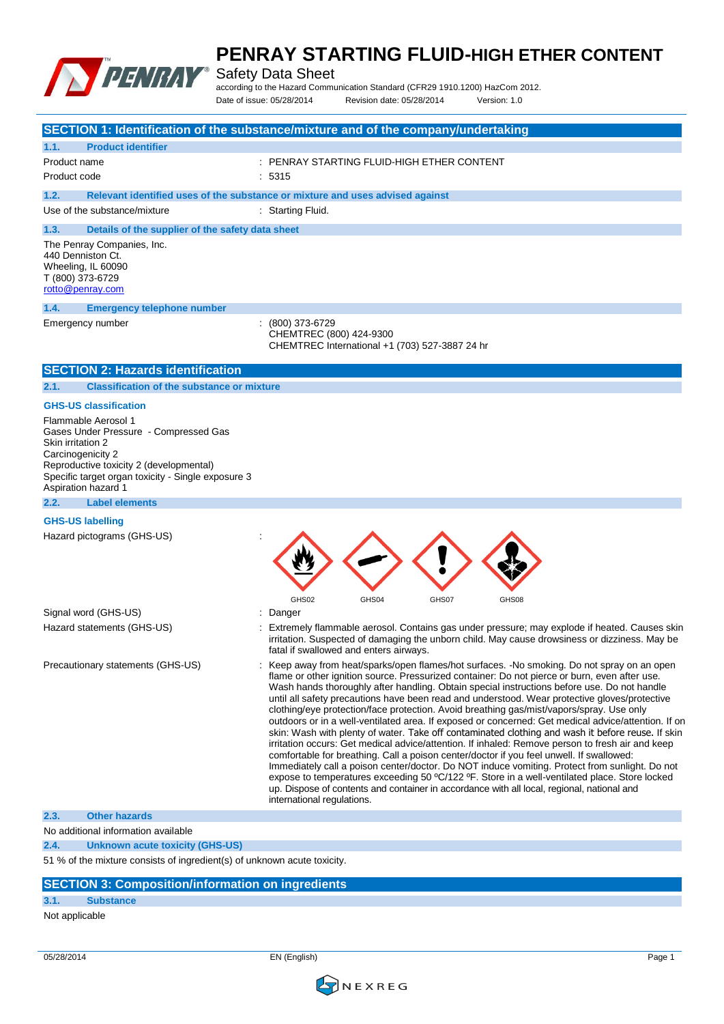

Safety Data Sheet

according to the Hazard Communication Standard (CFR29 1910.1200) HazCom 2012. Date of issue: 05/28/2014 Revision date: 05/28/2014 Version: 1.0

|                                                                                                                       |                                                                                                                                        | SECTION 1: Identification of the substance/mixture and of the company/undertaking                                                                                                                                                                                                                                                                                                                                                                                                                                                                                                                                                                                                                                                                                                                                                                                                                                                                                                                                                                                                                                                                                                                                                 |
|-----------------------------------------------------------------------------------------------------------------------|----------------------------------------------------------------------------------------------------------------------------------------|-----------------------------------------------------------------------------------------------------------------------------------------------------------------------------------------------------------------------------------------------------------------------------------------------------------------------------------------------------------------------------------------------------------------------------------------------------------------------------------------------------------------------------------------------------------------------------------------------------------------------------------------------------------------------------------------------------------------------------------------------------------------------------------------------------------------------------------------------------------------------------------------------------------------------------------------------------------------------------------------------------------------------------------------------------------------------------------------------------------------------------------------------------------------------------------------------------------------------------------|
| 1.1.                                                                                                                  | <b>Product identifier</b>                                                                                                              |                                                                                                                                                                                                                                                                                                                                                                                                                                                                                                                                                                                                                                                                                                                                                                                                                                                                                                                                                                                                                                                                                                                                                                                                                                   |
| Product name                                                                                                          |                                                                                                                                        | PENRAY STARTING FLUID-HIGH ETHER CONTENT                                                                                                                                                                                                                                                                                                                                                                                                                                                                                                                                                                                                                                                                                                                                                                                                                                                                                                                                                                                                                                                                                                                                                                                          |
| Product code                                                                                                          |                                                                                                                                        | 5315                                                                                                                                                                                                                                                                                                                                                                                                                                                                                                                                                                                                                                                                                                                                                                                                                                                                                                                                                                                                                                                                                                                                                                                                                              |
| 1.2.                                                                                                                  |                                                                                                                                        | Relevant identified uses of the substance or mixture and uses advised against                                                                                                                                                                                                                                                                                                                                                                                                                                                                                                                                                                                                                                                                                                                                                                                                                                                                                                                                                                                                                                                                                                                                                     |
| Use of the substance/mixture                                                                                          |                                                                                                                                        | : Starting Fluid.                                                                                                                                                                                                                                                                                                                                                                                                                                                                                                                                                                                                                                                                                                                                                                                                                                                                                                                                                                                                                                                                                                                                                                                                                 |
| 1.3.                                                                                                                  | Details of the supplier of the safety data sheet                                                                                       |                                                                                                                                                                                                                                                                                                                                                                                                                                                                                                                                                                                                                                                                                                                                                                                                                                                                                                                                                                                                                                                                                                                                                                                                                                   |
| The Penray Companies, Inc.<br>440 Denniston Ct.<br>Wheeling, IL 60090<br>T (800) 373-6729<br>rotto@penray.com         |                                                                                                                                        |                                                                                                                                                                                                                                                                                                                                                                                                                                                                                                                                                                                                                                                                                                                                                                                                                                                                                                                                                                                                                                                                                                                                                                                                                                   |
| 1.4.                                                                                                                  | <b>Emergency telephone number</b>                                                                                                      |                                                                                                                                                                                                                                                                                                                                                                                                                                                                                                                                                                                                                                                                                                                                                                                                                                                                                                                                                                                                                                                                                                                                                                                                                                   |
| Emergency number                                                                                                      |                                                                                                                                        | (800) 373-6729<br>CHEMTREC (800) 424-9300<br>CHEMTREC International +1 (703) 527-3887 24 hr                                                                                                                                                                                                                                                                                                                                                                                                                                                                                                                                                                                                                                                                                                                                                                                                                                                                                                                                                                                                                                                                                                                                       |
|                                                                                                                       | <b>SECTION 2: Hazards identification</b>                                                                                               |                                                                                                                                                                                                                                                                                                                                                                                                                                                                                                                                                                                                                                                                                                                                                                                                                                                                                                                                                                                                                                                                                                                                                                                                                                   |
| 2.1.                                                                                                                  | <b>Classification of the substance or mixture</b>                                                                                      |                                                                                                                                                                                                                                                                                                                                                                                                                                                                                                                                                                                                                                                                                                                                                                                                                                                                                                                                                                                                                                                                                                                                                                                                                                   |
| <b>GHS-US classification</b>                                                                                          |                                                                                                                                        |                                                                                                                                                                                                                                                                                                                                                                                                                                                                                                                                                                                                                                                                                                                                                                                                                                                                                                                                                                                                                                                                                                                                                                                                                                   |
| Flammable Aerosol 1<br>Skin irritation 2<br>Carcinogenicity 2<br>Aspiration hazard 1<br>2.2.<br><b>Label elements</b> | Gases Under Pressure - Compressed Gas<br>Reproductive toxicity 2 (developmental)<br>Specific target organ toxicity - Single exposure 3 |                                                                                                                                                                                                                                                                                                                                                                                                                                                                                                                                                                                                                                                                                                                                                                                                                                                                                                                                                                                                                                                                                                                                                                                                                                   |
|                                                                                                                       |                                                                                                                                        |                                                                                                                                                                                                                                                                                                                                                                                                                                                                                                                                                                                                                                                                                                                                                                                                                                                                                                                                                                                                                                                                                                                                                                                                                                   |
| <b>GHS-US labelling</b><br>Hazard pictograms (GHS-US)                                                                 |                                                                                                                                        | GHS02<br>GHS04<br>GHS07<br>GHS08                                                                                                                                                                                                                                                                                                                                                                                                                                                                                                                                                                                                                                                                                                                                                                                                                                                                                                                                                                                                                                                                                                                                                                                                  |
| Signal word (GHS-US)                                                                                                  |                                                                                                                                        | Danger<br>÷                                                                                                                                                                                                                                                                                                                                                                                                                                                                                                                                                                                                                                                                                                                                                                                                                                                                                                                                                                                                                                                                                                                                                                                                                       |
| Hazard statements (GHS-US)                                                                                            |                                                                                                                                        | Extremely flammable aerosol. Contains gas under pressure; may explode if heated. Causes skin<br>irritation. Suspected of damaging the unborn child. May cause drowsiness or dizziness. May be<br>fatal if swallowed and enters airways.                                                                                                                                                                                                                                                                                                                                                                                                                                                                                                                                                                                                                                                                                                                                                                                                                                                                                                                                                                                           |
|                                                                                                                       | Precautionary statements (GHS-US)                                                                                                      | Keep away from heat/sparks/open flames/hot surfaces. -No smoking. Do not spray on an open<br>flame or other ignition source. Pressurized container: Do not pierce or burn, even after use.<br>Wash hands thoroughly after handling. Obtain special instructions before use. Do not handle<br>until all safety precautions have been read and understood. Wear protective gloves/protective<br>clothing/eye protection/face protection. Avoid breathing gas/mist/vapors/spray. Use only<br>outdoors or in a well-ventilated area. If exposed or concerned: Get medical advice/attention. If on<br>skin: Wash with plenty of water. Take off contaminated clothing and wash it before reuse. If skin<br>irritation occurs: Get medical advice/attention. If inhaled: Remove person to fresh air and keep<br>comfortable for breathing. Call a poison center/doctor if you feel unwell. If swallowed:<br>Immediately call a poison center/doctor. Do NOT induce vomiting. Protect from sunlight. Do not<br>expose to temperatures exceeding 50 °C/122 °F. Store in a well-ventilated place. Store locked<br>up. Dispose of contents and container in accordance with all local, regional, national and<br>international regulations. |
| <b>Other hazards</b><br>2.3.                                                                                          |                                                                                                                                        |                                                                                                                                                                                                                                                                                                                                                                                                                                                                                                                                                                                                                                                                                                                                                                                                                                                                                                                                                                                                                                                                                                                                                                                                                                   |
| No additional information available                                                                                   |                                                                                                                                        |                                                                                                                                                                                                                                                                                                                                                                                                                                                                                                                                                                                                                                                                                                                                                                                                                                                                                                                                                                                                                                                                                                                                                                                                                                   |
| 2.4.                                                                                                                  | <b>Unknown acute toxicity (GHS-US)</b>                                                                                                 |                                                                                                                                                                                                                                                                                                                                                                                                                                                                                                                                                                                                                                                                                                                                                                                                                                                                                                                                                                                                                                                                                                                                                                                                                                   |
|                                                                                                                       | 51 % of the mixture consists of ingredient(s) of unknown acute toxicity.                                                               |                                                                                                                                                                                                                                                                                                                                                                                                                                                                                                                                                                                                                                                                                                                                                                                                                                                                                                                                                                                                                                                                                                                                                                                                                                   |

#### **SECTION 3: Composition/information on ingredients**

#### **3.1. Substance**

#### Not applicable

05/28/2014 EN (English) Page 1

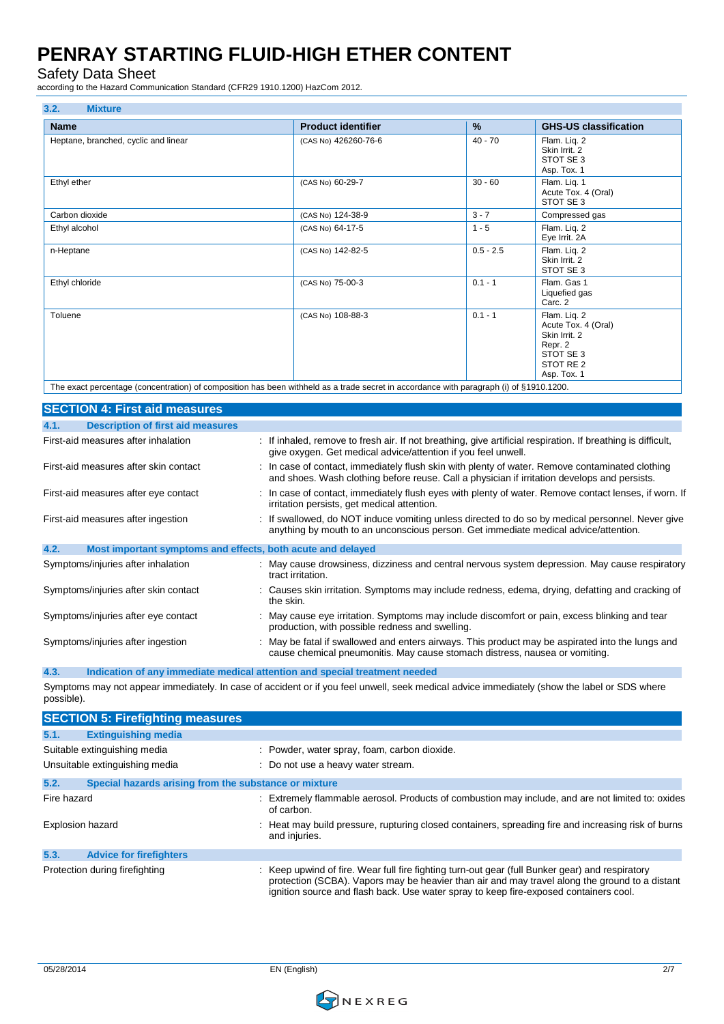Safety Data Sheet

according to the Hazard Communication Standard (CFR29 1910.1200) HazCom 2012.

| 3.2.<br><b>Mixture</b>               |                           |               |                                                                                                          |
|--------------------------------------|---------------------------|---------------|----------------------------------------------------------------------------------------------------------|
| <b>Name</b>                          | <b>Product identifier</b> | $\frac{9}{6}$ | <b>GHS-US classification</b>                                                                             |
| Heptane, branched, cyclic and linear | (CAS No) 426260-76-6      | $40 - 70$     | Flam. Lig. 2<br>Skin Irrit. 2<br>STOT SE 3<br>Asp. Tox. 1                                                |
| Ethyl ether                          | (CAS No) 60-29-7          | $30 - 60$     | Flam. Lig. 1<br>Acute Tox. 4 (Oral)<br>STOT SE 3                                                         |
| Carbon dioxide                       | (CAS No) 124-38-9         | $3 - 7$       | Compressed gas                                                                                           |
| Ethyl alcohol                        | (CAS No) 64-17-5          | $1 - 5$       | Flam. Liq. 2<br>Eye Irrit. 2A                                                                            |
| n-Heptane                            | (CAS No) 142-82-5         | $0.5 - 2.5$   | Flam. Lig. 2<br>Skin Irrit. 2<br>STOT SE 3                                                               |
| Ethyl chloride                       | (CAS No) 75-00-3          | $0.1 - 1$     | Flam. Gas 1<br>Liquefied gas<br>Carc. 2                                                                  |
| Toluene                              | (CAS No) 108-88-3         | $0.1 - 1$     | Flam. Lig. 2<br>Acute Tox. 4 (Oral)<br>Skin Irrit. 2<br>Repr. 2<br>STOT SE 3<br>STOT RE 2<br>Asp. Tox. 1 |

The exact percentage (concentration) of composition has been withheld as a trade secret in accordance with paragraph (i) of §1910.1200.

| <b>SECTION 4: First aid measures</b>                                |                                                                                                                                                                                                 |
|---------------------------------------------------------------------|-------------------------------------------------------------------------------------------------------------------------------------------------------------------------------------------------|
| <b>Description of first aid measures</b><br>4.1.                    |                                                                                                                                                                                                 |
| First-aid measures after inhalation                                 | : If inhaled, remove to fresh air. If not breathing, give artificial respiration. If breathing is difficult,<br>give oxygen. Get medical advice/attention if you feel unwell.                   |
| First-aid measures after skin contact                               | : In case of contact, immediately flush skin with plenty of water. Remove contaminated clothing<br>and shoes. Wash clothing before reuse. Call a physician if irritation develops and persists. |
| First-aid measures after eye contact                                | : In case of contact, immediately flush eyes with plenty of water. Remove contact lenses, if worn. If<br>irritation persists, get medical attention.                                            |
| First-aid measures after ingestion                                  | : If swallowed, do NOT induce vomiting unless directed to do so by medical personnel. Never give<br>anything by mouth to an unconscious person. Get immediate medical advice/attention.         |
| 4.2.<br>Most important symptoms and effects, both acute and delayed |                                                                                                                                                                                                 |
| Symptoms/injuries after inhalation                                  | : May cause drowsiness, dizziness and central nervous system depression. May cause respiratory<br>tract irritation.                                                                             |
| Symptoms/injuries after skin contact                                | : Causes skin irritation. Symptoms may include redness, edema, drying, defatting and cracking of<br>the skin.                                                                                   |
| Symptoms/injuries after eye contact                                 | : May cause eye irritation. Symptoms may include discomfort or pain, excess blinking and tear<br>production, with possible redness and swelling.                                                |
| Symptoms/injuries after ingestion                                   | : May be fatal if swallowed and enters airways. This product may be aspirated into the lungs and<br>cause chemical pneumonitis. May cause stomach distress, nausea or vomiting.                 |

**4.3. Indication of any immediate medical attention and special treatment needed**

Symptoms may not appear immediately. In case of accident or if you feel unwell, seek medical advice immediately (show the label or SDS where possible).

|             | <b>SECTION 5: Firefighting measures</b>               |                                                                                                                                                                                                                                                                                            |
|-------------|-------------------------------------------------------|--------------------------------------------------------------------------------------------------------------------------------------------------------------------------------------------------------------------------------------------------------------------------------------------|
| 5.1.        | <b>Extinguishing media</b>                            |                                                                                                                                                                                                                                                                                            |
|             | Suitable extinguishing media                          | : Powder, water spray, foam, carbon dioxide.                                                                                                                                                                                                                                               |
|             | Unsuitable extinguishing media                        | : Do not use a heavy water stream.                                                                                                                                                                                                                                                         |
| 5.2.        | Special hazards arising from the substance or mixture |                                                                                                                                                                                                                                                                                            |
| Fire hazard |                                                       | : Extremely flammable aerosol. Products of combustion may include, and are not limited to: oxides<br>of carbon.                                                                                                                                                                            |
|             | <b>Explosion hazard</b>                               | : Heat may build pressure, rupturing closed containers, spreading fire and increasing risk of burns<br>and injuries.                                                                                                                                                                       |
| 5.3.        | <b>Advice for firefighters</b>                        |                                                                                                                                                                                                                                                                                            |
|             | Protection during firefighting                        | : Keep upwind of fire. Wear full fire fighting turn-out gear (full Bunker gear) and respiratory<br>protection (SCBA). Vapors may be heavier than air and may travel along the ground to a distant<br>ignition source and flash back. Use water spray to keep fire-exposed containers cool. |

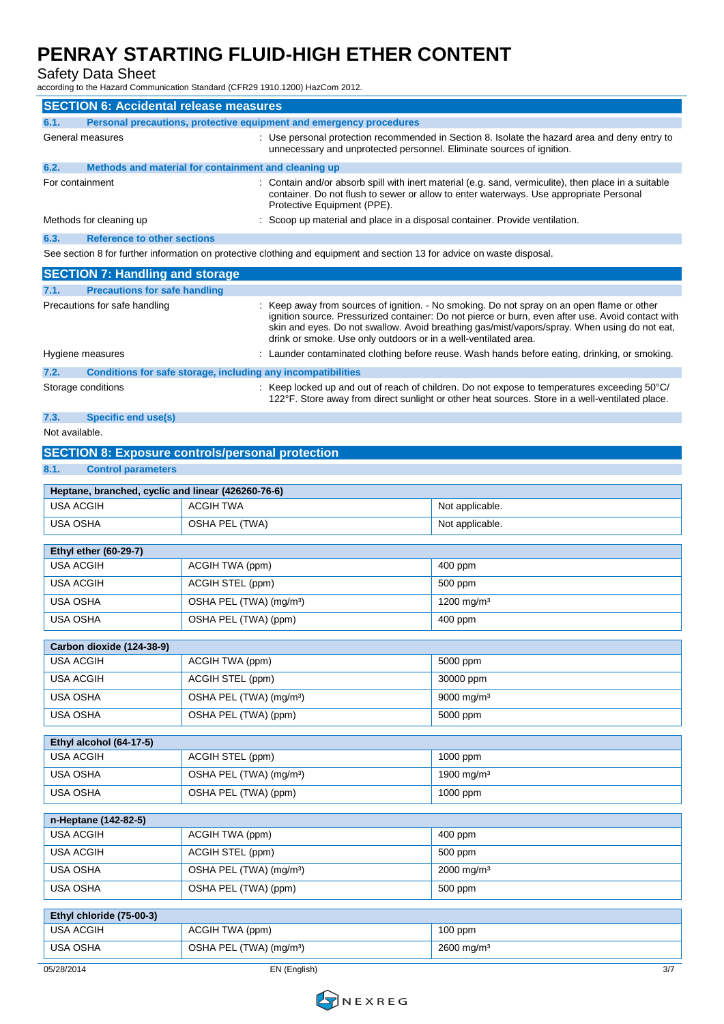Safety Data Sheet

according to the Hazard Communication Standard (CFR29 1910.1200) HazCom 2012.

| <b>SECTION 6: Accidental release measures</b>                        |                                     |                                                                                                                                                                                                                                                                                                                                                                    |                                                                                                                                                                                                 |  |
|----------------------------------------------------------------------|-------------------------------------|--------------------------------------------------------------------------------------------------------------------------------------------------------------------------------------------------------------------------------------------------------------------------------------------------------------------------------------------------------------------|-------------------------------------------------------------------------------------------------------------------------------------------------------------------------------------------------|--|
| 6.1.                                                                 |                                     | Personal precautions, protective equipment and emergency procedures                                                                                                                                                                                                                                                                                                |                                                                                                                                                                                                 |  |
| General measures                                                     |                                     | : Use personal protection recommended in Section 8. Isolate the hazard area and deny entry to<br>unnecessary and unprotected personnel. Eliminate sources of ignition.                                                                                                                                                                                             |                                                                                                                                                                                                 |  |
| 6.2.<br>Methods and material for containment and cleaning up         |                                     |                                                                                                                                                                                                                                                                                                                                                                    |                                                                                                                                                                                                 |  |
| For containment                                                      |                                     | : Contain and/or absorb spill with inert material (e.g. sand, vermiculite), then place in a suitable<br>container. Do not flush to sewer or allow to enter waterways. Use appropriate Personal<br>Protective Equipment (PPE).                                                                                                                                      |                                                                                                                                                                                                 |  |
| Methods for cleaning up                                              |                                     | : Scoop up material and place in a disposal container. Provide ventilation.                                                                                                                                                                                                                                                                                        |                                                                                                                                                                                                 |  |
| <b>Reference to other sections</b><br>6.3.                           |                                     |                                                                                                                                                                                                                                                                                                                                                                    |                                                                                                                                                                                                 |  |
|                                                                      |                                     | See section 8 for further information on protective clothing and equipment and section 13 for advice on waste disposal.                                                                                                                                                                                                                                            |                                                                                                                                                                                                 |  |
| <b>SECTION 7: Handling and storage</b>                               |                                     |                                                                                                                                                                                                                                                                                                                                                                    |                                                                                                                                                                                                 |  |
| <b>Precautions for safe handling</b><br>7.1.                         |                                     |                                                                                                                                                                                                                                                                                                                                                                    |                                                                                                                                                                                                 |  |
| Precautions for safe handling                                        |                                     | : Keep away from sources of ignition. - No smoking. Do not spray on an open flame or other<br>ignition source. Pressurized container: Do not pierce or burn, even after use. Avoid contact with<br>skin and eyes. Do not swallow. Avoid breathing gas/mist/vapors/spray. When using do not eat,<br>drink or smoke. Use only outdoors or in a well-ventilated area. |                                                                                                                                                                                                 |  |
| Hygiene measures                                                     |                                     |                                                                                                                                                                                                                                                                                                                                                                    | Launder contaminated clothing before reuse. Wash hands before eating, drinking, or smoking.                                                                                                     |  |
| 7.2.<br>Conditions for safe storage, including any incompatibilities |                                     |                                                                                                                                                                                                                                                                                                                                                                    |                                                                                                                                                                                                 |  |
| Storage conditions                                                   |                                     |                                                                                                                                                                                                                                                                                                                                                                    | : Keep locked up and out of reach of children. Do not expose to temperatures exceeding 50°C/<br>122°F. Store away from direct sunlight or other heat sources. Store in a well-ventilated place. |  |
| <b>Specific end use(s)</b><br>7.3.                                   |                                     |                                                                                                                                                                                                                                                                                                                                                                    |                                                                                                                                                                                                 |  |
| Not available.                                                       |                                     |                                                                                                                                                                                                                                                                                                                                                                    |                                                                                                                                                                                                 |  |
| <b>SECTION 8: Exposure controls/personal protection</b>              |                                     |                                                                                                                                                                                                                                                                                                                                                                    |                                                                                                                                                                                                 |  |
| 8.1.<br><b>Control parameters</b>                                    |                                     |                                                                                                                                                                                                                                                                                                                                                                    |                                                                                                                                                                                                 |  |
| Heptane, branched, cyclic and linear (426260-76-6)                   |                                     |                                                                                                                                                                                                                                                                                                                                                                    |                                                                                                                                                                                                 |  |
| <b>USA ACGIH</b>                                                     | <b>ACGIH TWA</b>                    |                                                                                                                                                                                                                                                                                                                                                                    | Not applicable.                                                                                                                                                                                 |  |
| USA OSHA                                                             | OSHA PEL (TWA)                      |                                                                                                                                                                                                                                                                                                                                                                    | Not applicable.                                                                                                                                                                                 |  |
|                                                                      |                                     |                                                                                                                                                                                                                                                                                                                                                                    |                                                                                                                                                                                                 |  |
| <b>Ethyl ether (60-29-7)</b>                                         |                                     |                                                                                                                                                                                                                                                                                                                                                                    |                                                                                                                                                                                                 |  |
| <b>USA ACGIH</b>                                                     | ACGIH TWA (ppm)                     |                                                                                                                                                                                                                                                                                                                                                                    | 400 ppm                                                                                                                                                                                         |  |
| <b>USA ACGIH</b>                                                     | ACGIH STEL (ppm)                    |                                                                                                                                                                                                                                                                                                                                                                    | 500 ppm                                                                                                                                                                                         |  |
| <b>USA OSHA</b>                                                      | OSHA PEL (TWA) (mg/m <sup>3</sup> ) |                                                                                                                                                                                                                                                                                                                                                                    | 1200 mg/m <sup>3</sup>                                                                                                                                                                          |  |
| <b>USA OSHA</b>                                                      | OSHA PEL (TWA) (ppm)                |                                                                                                                                                                                                                                                                                                                                                                    | 400 ppm                                                                                                                                                                                         |  |
| Carbon dioxide (124-38-9)                                            |                                     |                                                                                                                                                                                                                                                                                                                                                                    |                                                                                                                                                                                                 |  |
| <b>USA ACGIH</b>                                                     | ACGIH TWA (ppm)                     |                                                                                                                                                                                                                                                                                                                                                                    | 5000 ppm                                                                                                                                                                                        |  |
| <b>USA ACGIH</b>                                                     | ACGIH STEL (ppm)                    |                                                                                                                                                                                                                                                                                                                                                                    | 30000 ppm                                                                                                                                                                                       |  |
| USA OSHA                                                             | OSHA PEL (TWA) (mg/m <sup>3</sup> ) |                                                                                                                                                                                                                                                                                                                                                                    | 9000 mg/m <sup>3</sup>                                                                                                                                                                          |  |
| USA OSHA                                                             | OSHA PEL (TWA) (ppm)                |                                                                                                                                                                                                                                                                                                                                                                    | 5000 ppm                                                                                                                                                                                        |  |
|                                                                      |                                     |                                                                                                                                                                                                                                                                                                                                                                    |                                                                                                                                                                                                 |  |
| Ethyl alcohol (64-17-5)                                              |                                     |                                                                                                                                                                                                                                                                                                                                                                    |                                                                                                                                                                                                 |  |
| <b>USA ACGIH</b>                                                     | ACGIH STEL (ppm)                    |                                                                                                                                                                                                                                                                                                                                                                    | 1000 ppm                                                                                                                                                                                        |  |
| USA OSHA                                                             | OSHA PEL (TWA) (mg/m <sup>3</sup> ) |                                                                                                                                                                                                                                                                                                                                                                    | 1900 mg/m <sup>3</sup>                                                                                                                                                                          |  |
| <b>USA OSHA</b>                                                      | OSHA PEL (TWA) (ppm)                |                                                                                                                                                                                                                                                                                                                                                                    | 1000 ppm                                                                                                                                                                                        |  |
| n-Heptane (142-82-5)                                                 |                                     |                                                                                                                                                                                                                                                                                                                                                                    |                                                                                                                                                                                                 |  |
| <b>USA ACGIH</b>                                                     | ACGIH TWA (ppm)                     |                                                                                                                                                                                                                                                                                                                                                                    | 400 ppm                                                                                                                                                                                         |  |
| <b>USA ACGIH</b>                                                     | ACGIH STEL (ppm)                    |                                                                                                                                                                                                                                                                                                                                                                    | 500 ppm                                                                                                                                                                                         |  |
| USA OSHA                                                             | OSHA PEL (TWA) (mg/m <sup>3</sup> ) |                                                                                                                                                                                                                                                                                                                                                                    | 2000 mg/m <sup>3</sup>                                                                                                                                                                          |  |
| USA OSHA                                                             | OSHA PEL (TWA) (ppm)                |                                                                                                                                                                                                                                                                                                                                                                    | 500 ppm                                                                                                                                                                                         |  |
|                                                                      |                                     |                                                                                                                                                                                                                                                                                                                                                                    |                                                                                                                                                                                                 |  |
| Ethyl chloride (75-00-3)                                             |                                     |                                                                                                                                                                                                                                                                                                                                                                    |                                                                                                                                                                                                 |  |
| <b>USA ACGIH</b>                                                     | ACGIH TWA (ppm)                     |                                                                                                                                                                                                                                                                                                                                                                    | 100 ppm                                                                                                                                                                                         |  |

05/28/2014 EN (English) 3/7

USA OSHA **DEL (TWA)** (mg/m<sup>3</sup>) 2600 mg/m<sup>3</sup>

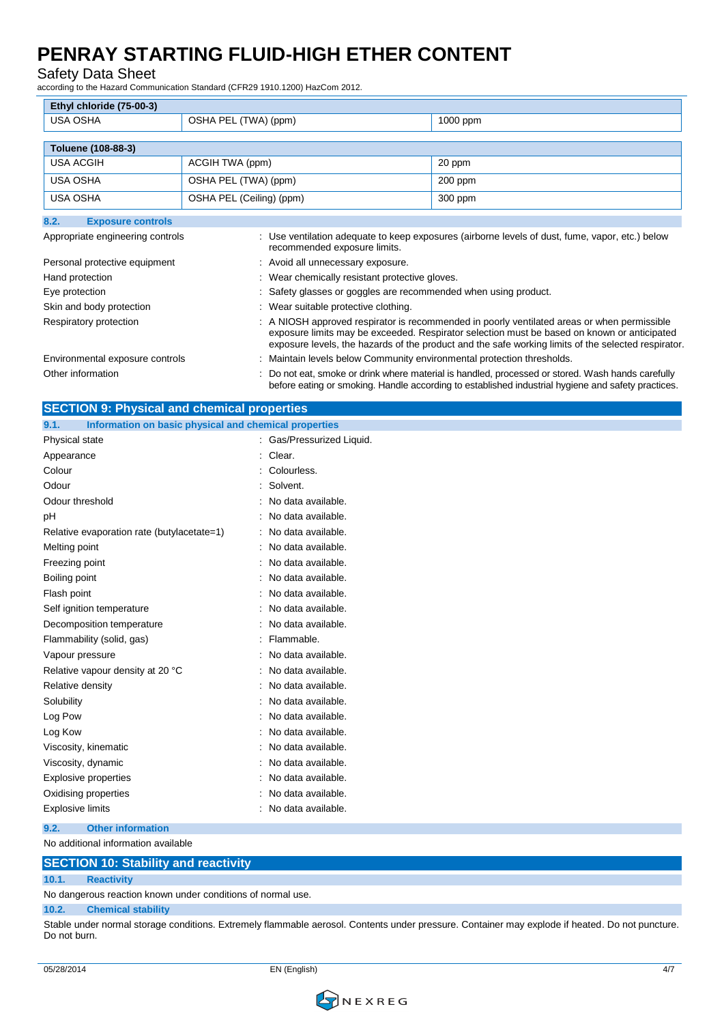### Safety Data Sheet

according to the Hazard Communication Standard (CFR29 1910.1200) HazCom 2012.

| Ethyl chloride (75-00-3)         |                          |                                                                                                                                                                                                                                                                                                 |                                                                                                                                                                                                       |  |
|----------------------------------|--------------------------|-------------------------------------------------------------------------------------------------------------------------------------------------------------------------------------------------------------------------------------------------------------------------------------------------|-------------------------------------------------------------------------------------------------------------------------------------------------------------------------------------------------------|--|
| <b>USA OSHA</b>                  | OSHA PEL (TWA) (ppm)     |                                                                                                                                                                                                                                                                                                 | 1000 ppm                                                                                                                                                                                              |  |
|                                  |                          |                                                                                                                                                                                                                                                                                                 |                                                                                                                                                                                                       |  |
| Toluene (108-88-3)               |                          |                                                                                                                                                                                                                                                                                                 |                                                                                                                                                                                                       |  |
| <b>USA ACGIH</b>                 | ACGIH TWA (ppm)          |                                                                                                                                                                                                                                                                                                 | 20 ppm                                                                                                                                                                                                |  |
| <b>USA OSHA</b>                  | OSHA PEL (TWA) (ppm)     |                                                                                                                                                                                                                                                                                                 | $200$ ppm                                                                                                                                                                                             |  |
| <b>USA OSHA</b>                  | OSHA PEL (Ceiling) (ppm) |                                                                                                                                                                                                                                                                                                 | 300 ppm                                                                                                                                                                                               |  |
| 8.2.<br><b>Exposure controls</b> |                          |                                                                                                                                                                                                                                                                                                 |                                                                                                                                                                                                       |  |
| Appropriate engineering controls |                          | recommended exposure limits.                                                                                                                                                                                                                                                                    | : Use ventilation adequate to keep exposures (airborne levels of dust, fume, vapor, etc.) below                                                                                                       |  |
| Personal protective equipment    |                          | : Avoid all unnecessary exposure.                                                                                                                                                                                                                                                               |                                                                                                                                                                                                       |  |
| Hand protection                  |                          | : Wear chemically resistant protective gloves.                                                                                                                                                                                                                                                  |                                                                                                                                                                                                       |  |
| Eye protection                   |                          | : Safety glasses or goggles are recommended when using product.                                                                                                                                                                                                                                 |                                                                                                                                                                                                       |  |
| Skin and body protection         |                          | : Wear suitable protective clothing.                                                                                                                                                                                                                                                            |                                                                                                                                                                                                       |  |
| Respiratory protection           |                          | A NIOSH approved respirator is recommended in poorly ventilated areas or when permissible<br>exposure limits may be exceeded. Respirator selection must be based on known or anticipated<br>exposure levels, the hazards of the product and the safe working limits of the selected respirator. |                                                                                                                                                                                                       |  |
| Environmental exposure controls  |                          | Maintain levels below Community environmental protection thresholds.                                                                                                                                                                                                                            |                                                                                                                                                                                                       |  |
| Other information                |                          |                                                                                                                                                                                                                                                                                                 | Do not eat, smoke or drink where material is handled, processed or stored. Wash hands carefully<br>before eating or smoking. Handle according to established industrial hygiene and safety practices. |  |

| <b>SECTION 9: Physical and chemical properties</b>            |                           |
|---------------------------------------------------------------|---------------------------|
| Information on basic physical and chemical properties<br>9.1. |                           |
| Physical state                                                | : Gas/Pressurized Liquid. |
| Appearance                                                    | Clear.                    |
| Colour                                                        | Colourless.               |
| Odour                                                         | : Solvent.                |
| Odour threshold                                               | No data available.        |
| рH                                                            | No data available.        |
| Relative evaporation rate (butylacetate=1)                    | : No data available.      |
| Melting point                                                 | No data available.        |
| Freezing point                                                | No data available.        |
| Boiling point                                                 | : No data available.      |
| Flash point                                                   | No data available.        |
| Self ignition temperature                                     | No data available.        |
| Decomposition temperature                                     | : No data available.      |
| Flammability (solid, gas)                                     | Flammable.                |
| Vapour pressure                                               | : No data available.      |
| Relative vapour density at 20 °C                              | : No data available.      |
| Relative density                                              | No data available.        |
| Solubility                                                    | No data available.        |
| Log Pow                                                       | : No data available.      |
| Log Kow                                                       | No data available.        |
| Viscosity, kinematic                                          | No data available.        |
| Viscosity, dynamic                                            | No data available.        |
| Explosive properties                                          | No data available.        |
| Oxidising properties                                          | : No data available.      |
| <b>Explosive limits</b>                                       | : No data available.      |
| 9.2.<br><b>Other information</b>                              |                           |

No additional information available

|       | <b>SECTION 10: Stability and reactivity</b>                 |
|-------|-------------------------------------------------------------|
| 10.1. | <b>Reactivity</b>                                           |
|       | No dangerous reaction known under conditions of normal use. |

### **10.2. Chemical stability**

Stable under normal storage conditions. Extremely flammable aerosol. Contents under pressure. Container may explode if heated. Do not puncture. Do not burn.

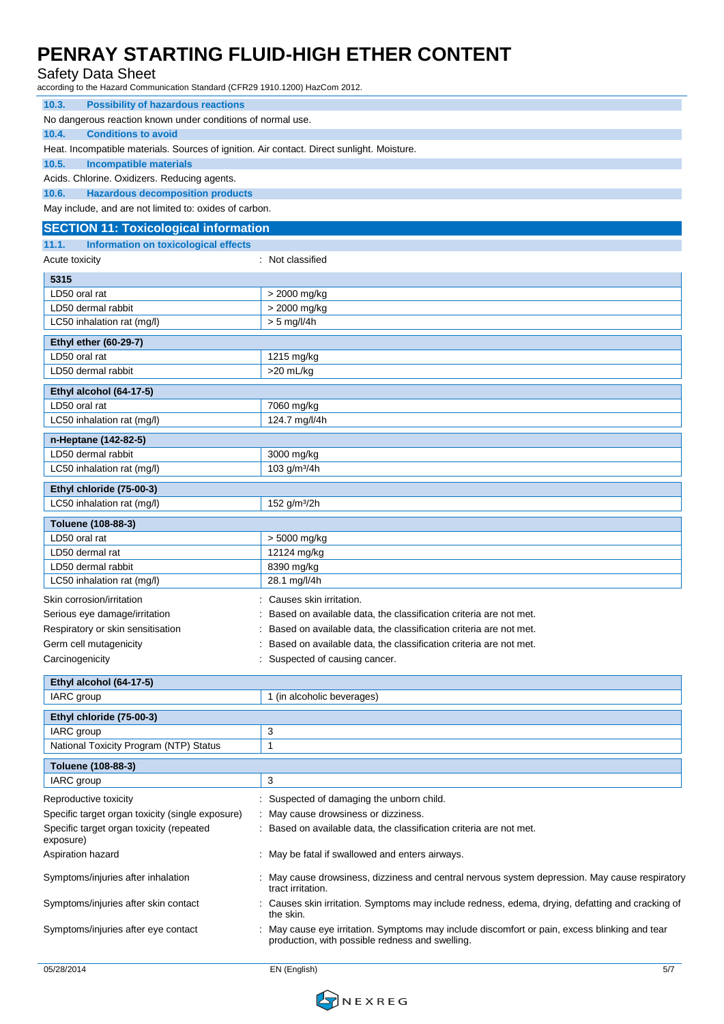#### Safety Data Sheet

according to the Hazard Communication Standard (CFR29 1910.1200) HazCom 2012.

| 10.3.<br><b>Possibility of hazardous reactions</b>                                         |                                                                                                                                                |  |  |
|--------------------------------------------------------------------------------------------|------------------------------------------------------------------------------------------------------------------------------------------------|--|--|
| No dangerous reaction known under conditions of normal use.                                |                                                                                                                                                |  |  |
| 10.4.<br><b>Conditions to avoid</b>                                                        |                                                                                                                                                |  |  |
| Heat. Incompatible materials. Sources of ignition. Air contact. Direct sunlight. Moisture. |                                                                                                                                                |  |  |
| 10.5.<br><b>Incompatible materials</b>                                                     |                                                                                                                                                |  |  |
| Acids. Chlorine. Oxidizers. Reducing agents.                                               |                                                                                                                                                |  |  |
| 10.6.<br><b>Hazardous decomposition products</b>                                           |                                                                                                                                                |  |  |
| May include, and are not limited to: oxides of carbon.                                     |                                                                                                                                                |  |  |
| <b>SECTION 11: Toxicological information</b>                                               |                                                                                                                                                |  |  |
| 11.1.<br><b>Information on toxicological effects</b>                                       |                                                                                                                                                |  |  |
| Acute toxicity                                                                             | : Not classified                                                                                                                               |  |  |
| 5315                                                                                       |                                                                                                                                                |  |  |
| LD50 oral rat                                                                              | > 2000 mg/kg                                                                                                                                   |  |  |
| LD50 dermal rabbit                                                                         | > 2000 mg/kg                                                                                                                                   |  |  |
| LC50 inhalation rat (mg/l)                                                                 | $> 5$ mg/l/4h                                                                                                                                  |  |  |
|                                                                                            |                                                                                                                                                |  |  |
| <b>Ethyl ether (60-29-7)</b>                                                               |                                                                                                                                                |  |  |
| LD50 oral rat                                                                              | 1215 mg/kg                                                                                                                                     |  |  |
| LD50 dermal rabbit                                                                         | >20 mL/kg                                                                                                                                      |  |  |
| Ethyl alcohol (64-17-5)                                                                    |                                                                                                                                                |  |  |
| LD50 oral rat                                                                              | 7060 mg/kg                                                                                                                                     |  |  |
| LC50 inhalation rat (mg/l)                                                                 | 124.7 mg/l/4h                                                                                                                                  |  |  |
| n-Heptane (142-82-5)                                                                       |                                                                                                                                                |  |  |
| LD50 dermal rabbit                                                                         | 3000 mg/kg                                                                                                                                     |  |  |
| LC50 inhalation rat (mg/l)                                                                 | 103 g/m <sup>3</sup> /4h                                                                                                                       |  |  |
|                                                                                            |                                                                                                                                                |  |  |
| Ethyl chloride (75-00-3)                                                                   |                                                                                                                                                |  |  |
| LC50 inhalation rat (mg/l)                                                                 | 152 g/m <sup>3</sup> /2h                                                                                                                       |  |  |
| Toluene (108-88-3)                                                                         |                                                                                                                                                |  |  |
| LD50 oral rat                                                                              | > 5000 mg/kg                                                                                                                                   |  |  |
| LD50 dermal rat                                                                            | 12124 mg/kg                                                                                                                                    |  |  |
| LD50 dermal rabbit                                                                         | 8390 mg/kg                                                                                                                                     |  |  |
| LC50 inhalation rat (mg/l)                                                                 | 28.1 mg/l/4h                                                                                                                                   |  |  |
| Skin corrosion/irritation                                                                  | Causes skin irritation.                                                                                                                        |  |  |
| Serious eye damage/irritation                                                              | Based on available data, the classification criteria are not met.                                                                              |  |  |
| Respiratory or skin sensitisation                                                          | Based on available data, the classification criteria are not met.                                                                              |  |  |
| Germ cell mutagenicity                                                                     | Based on available data, the classification criteria are not met.                                                                              |  |  |
| Carcinogenicity                                                                            | Suspected of causing cancer.                                                                                                                   |  |  |
|                                                                                            |                                                                                                                                                |  |  |
| Ethyl alcohol (64-17-5)                                                                    |                                                                                                                                                |  |  |
| IARC group                                                                                 | 1 (in alcoholic beverages)                                                                                                                     |  |  |
| Ethyl chloride (75-00-3)                                                                   |                                                                                                                                                |  |  |
| IARC group                                                                                 | 3                                                                                                                                              |  |  |
| National Toxicity Program (NTP) Status                                                     | 1                                                                                                                                              |  |  |
| Toluene (108-88-3)                                                                         |                                                                                                                                                |  |  |
| IARC group                                                                                 | 3                                                                                                                                              |  |  |
|                                                                                            |                                                                                                                                                |  |  |
| Reproductive toxicity                                                                      | Suspected of damaging the unborn child.                                                                                                        |  |  |
| Specific target organ toxicity (single exposure)                                           | May cause drowsiness or dizziness.                                                                                                             |  |  |
| Specific target organ toxicity (repeated<br>exposure)                                      | Based on available data, the classification criteria are not met.                                                                              |  |  |
| Aspiration hazard                                                                          | : May be fatal if swallowed and enters airways.                                                                                                |  |  |
| Symptoms/injuries after inhalation                                                         | May cause drowsiness, dizziness and central nervous system depression. May cause respiratory<br>tract irritation.                              |  |  |
| Symptoms/injuries after skin contact                                                       | Causes skin irritation. Symptoms may include redness, edema, drying, defatting and cracking of<br>the skin.                                    |  |  |
| Symptoms/injuries after eye contact                                                        | May cause eye irritation. Symptoms may include discomfort or pain, excess blinking and tear<br>production, with possible redness and swelling. |  |  |
|                                                                                            |                                                                                                                                                |  |  |

05/28/2014 EN (English) 5/7

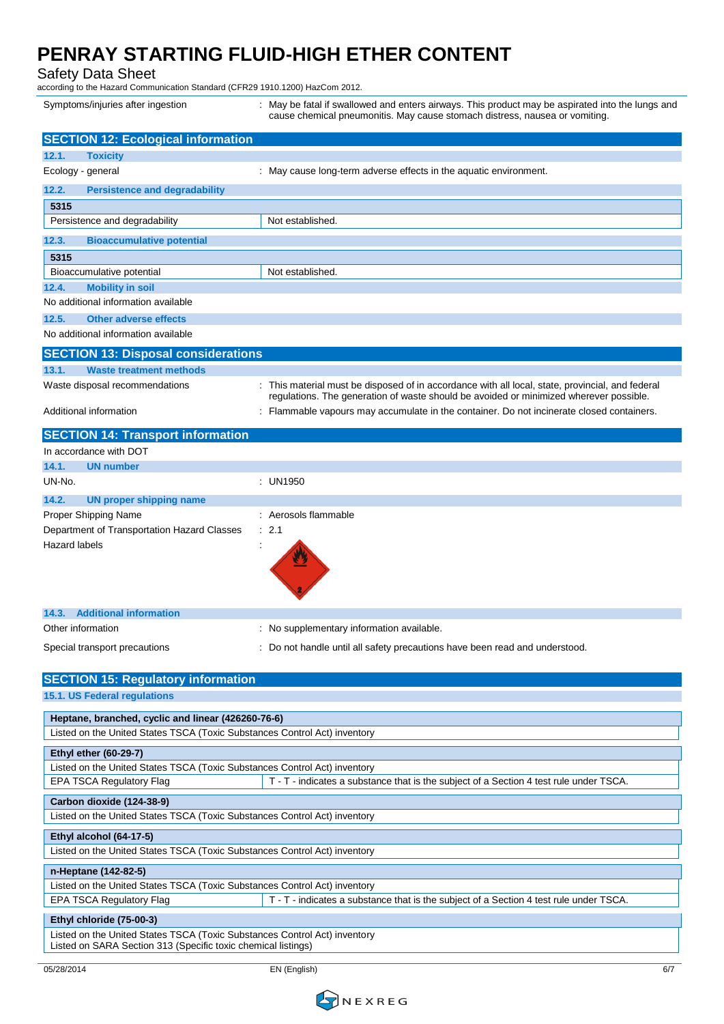Safety Data Sheet

according to the Hazard Communication Standard (CFR29 1910.1200) HazCom 2012.

Symptoms/injuries after ingestion : May be fatal if swallowed and enters airways. This product may be aspirated into the lungs and cause chemical pneumonitis. May cause stomach distress, nausea or vomiting.

| <b>SECTION 12: Ecological information</b>                                                                                       |                                                                                                                                                                                            |
|---------------------------------------------------------------------------------------------------------------------------------|--------------------------------------------------------------------------------------------------------------------------------------------------------------------------------------------|
| <b>Toxicity</b><br>12.1.                                                                                                        |                                                                                                                                                                                            |
| Ecology - general                                                                                                               | : May cause long-term adverse effects in the aquatic environment.                                                                                                                          |
| <b>Persistence and degradability</b><br>12.2.                                                                                   |                                                                                                                                                                                            |
| 5315                                                                                                                            |                                                                                                                                                                                            |
| Persistence and degradability                                                                                                   | Not established.                                                                                                                                                                           |
| 12.3.<br><b>Bioaccumulative potential</b>                                                                                       |                                                                                                                                                                                            |
| 5315                                                                                                                            |                                                                                                                                                                                            |
| Bioaccumulative potential                                                                                                       | Not established.                                                                                                                                                                           |
| 12.4.<br><b>Mobility in soil</b>                                                                                                |                                                                                                                                                                                            |
| No additional information available                                                                                             |                                                                                                                                                                                            |
| <b>Other adverse effects</b><br>12.5.                                                                                           |                                                                                                                                                                                            |
| No additional information available                                                                                             |                                                                                                                                                                                            |
|                                                                                                                                 |                                                                                                                                                                                            |
| <b>SECTION 13: Disposal considerations</b>                                                                                      |                                                                                                                                                                                            |
| 13.1.<br><b>Waste treatment methods</b>                                                                                         |                                                                                                                                                                                            |
| Waste disposal recommendations                                                                                                  | : This material must be disposed of in accordance with all local, state, provincial, and federal<br>regulations. The generation of waste should be avoided or minimized wherever possible. |
| Additional information                                                                                                          | : Flammable vapours may accumulate in the container. Do not incinerate closed containers.                                                                                                  |
|                                                                                                                                 |                                                                                                                                                                                            |
| <b>SECTION 14: Transport information</b>                                                                                        |                                                                                                                                                                                            |
| In accordance with DOT                                                                                                          |                                                                                                                                                                                            |
| 14.1.<br><b>UN number</b>                                                                                                       |                                                                                                                                                                                            |
| UN-No.                                                                                                                          | : UN1950                                                                                                                                                                                   |
| 14.2.<br><b>UN proper shipping name</b>                                                                                         |                                                                                                                                                                                            |
| Proper Shipping Name                                                                                                            | : Aerosols flammable                                                                                                                                                                       |
| Department of Transportation Hazard Classes<br><b>Hazard labels</b>                                                             | $\therefore$ 2.1                                                                                                                                                                           |
|                                                                                                                                 |                                                                                                                                                                                            |
| <b>Additional information</b><br>14.3.                                                                                          |                                                                                                                                                                                            |
| Other information                                                                                                               | No supplementary information available.                                                                                                                                                    |
| Special transport precautions                                                                                                   | Do not handle until all safety precautions have been read and understood.                                                                                                                  |
|                                                                                                                                 |                                                                                                                                                                                            |
| <b>SECTION 15: Regulatory information</b>                                                                                       |                                                                                                                                                                                            |
| 15.1. US Federal regulations                                                                                                    |                                                                                                                                                                                            |
|                                                                                                                                 |                                                                                                                                                                                            |
| Heptane, branched, cyclic and linear (426260-76-6)<br>Listed on the United States TSCA (Toxic Substances Control Act) inventory |                                                                                                                                                                                            |
|                                                                                                                                 |                                                                                                                                                                                            |
| <b>Ethyl ether (60-29-7)</b>                                                                                                    |                                                                                                                                                                                            |
| Listed on the United States TSCA (Toxic Substances Control Act) inventory                                                       |                                                                                                                                                                                            |
| EPA TSCA Regulatory Flag                                                                                                        | T - T - indicates a substance that is the subject of a Section 4 test rule under TSCA.                                                                                                     |
| Carbon dioxide (124-38-9)                                                                                                       |                                                                                                                                                                                            |
| Listed on the United States TSCA (Toxic Substances Control Act) inventory                                                       |                                                                                                                                                                                            |
| Ethyl alcohol (64-17-5)                                                                                                         |                                                                                                                                                                                            |
| Listed on the United States TSCA (Toxic Substances Control Act) inventory                                                       |                                                                                                                                                                                            |
| n-Heptane (142-82-5)                                                                                                            |                                                                                                                                                                                            |
| Listed on the United States TSCA (Toxic Substances Control Act) inventory                                                       |                                                                                                                                                                                            |
| EPA TSCA Regulatory Flag                                                                                                        | T - T - indicates a substance that is the subject of a Section 4 test rule under TSCA.                                                                                                     |
| Ethyl chloride (75-00-3)                                                                                                        |                                                                                                                                                                                            |
| Listed on the United States TSCA (Toxic Substances Control Act) inventory                                                       |                                                                                                                                                                                            |
| Listed on SARA Section 313 (Specific toxic chemical listings)                                                                   |                                                                                                                                                                                            |